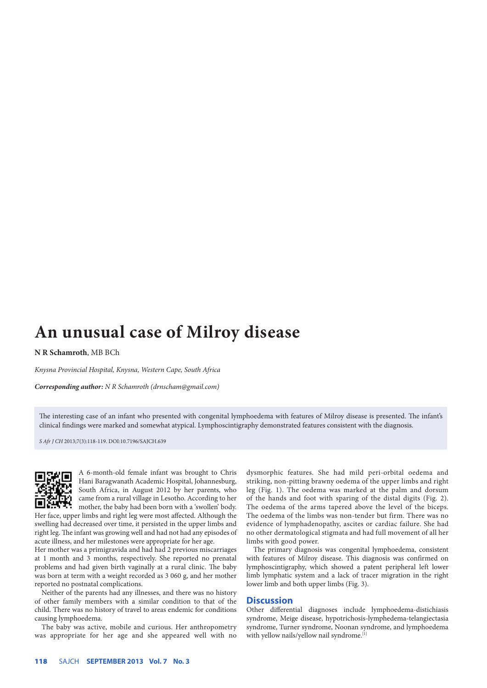## **An unusual case of Milroy disease**

## **N R Schamroth**, MB BCh

*Knysna Provincial Hospital, Knysna, Western Cape, South Africa*

*Corresponding author: N R Schamroth (drnscham@gmail.com)* 

The interesting case of an infant who presented with congenital lymphoedema with features of Milroy disease is presented. The infant's clinical findings were marked and somewhat atypical. Lymphoscintigraphy demonstrated features consistent with the diagnosis.

*S Afr J CH* 2013;7(3):118-119. DOI:10.7196/SAJCH.639



A 6-month-old female infant was brought to Chris Hani Baragwanath Academic Hospital, Johannesburg, South Africa, in August 2012 by her parents, who came from a rural village in Lesotho. According to her mother, the baby had been born with a 'swollen' body. Her face, upper limbs and right leg were most affected. Although the

swelling had decreased over time, it persisted in the upper limbs and right leg. The infant was growing well and had not had any episodes of acute illness, and her milestones were appropriate for her age.

Her mother was a primigravida and had had 2 previous miscarriages at 1 month and 3 months, respectively. She reported no prenatal problems and had given birth vaginally at a rural clinic. The baby was born at term with a weight recorded as 3 060 g, and her mother reported no postnatal complications.

Neither of the parents had any illnesses, and there was no history of other family members with a similar condition to that of the child. There was no history of travel to areas endemic for conditions causing lymphoedema.

The baby was active, mobile and curious. Her anthropometry was appropriate for her age and she appeared well with no dysmorphic features. She had mild peri-orbital oedema and striking, non-pitting brawny oedema of the upper limbs and right leg (Fig. 1). The oedema was marked at the palm and dorsum of the hands and foot with sparing of the distal digits (Fig. 2). The oedema of the arms tapered above the level of the biceps. The oedema of the limbs was non-tender but firm. There was no evidence of lymphadenopathy, ascites or cardiac failure. She had no other dermatological stigmata and had full movement of all her limbs with good power.

The primary diagnosis was congenital lymphoedema, consistent with features of Milroy disease. This diagnosis was confirmed on lymphoscintigraphy, which showed a patent peripheral left lower limb lymphatic system and a lack of tracer migration in the right lower limb and both upper limbs (Fig. 3).

## **Discussion**

Other differential diagnoses include lymphoedema-distichiasis syndrome, Meige disease, hypotrichosis-lymphedema-telangiectasia syndrome, Turner syndrome, Noonan syndrome, and lymphoedema with yellow nails/yellow nail syndrome.<sup>[1]</sup>